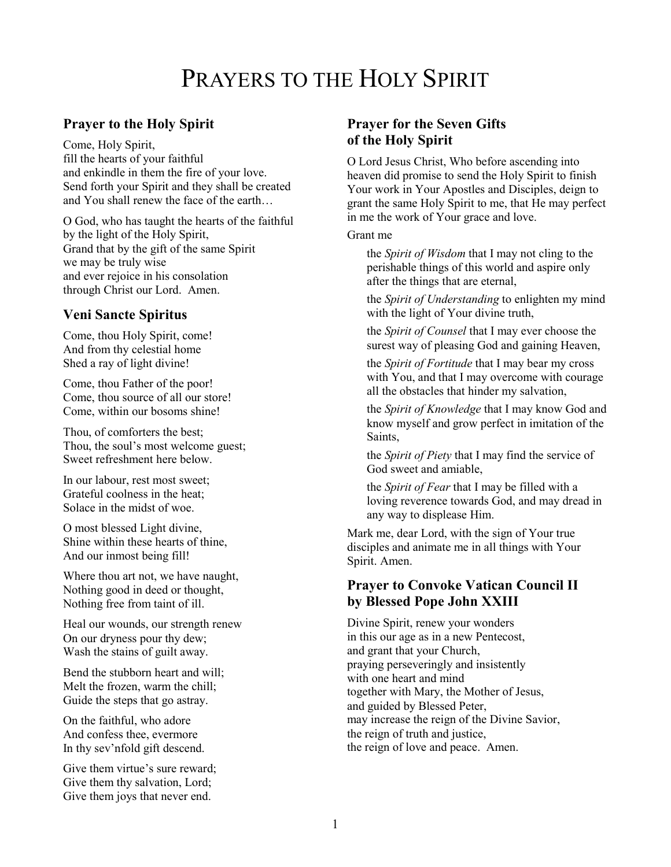# PRAYERS TO THE HOLY SPIRIT

#### **Prayer to the Holy Spirit**

Come, Holy Spirit, fill the hearts of your faithful and enkindle in them the fire of your love. Send forth your Spirit and they shall be created and You shall renew the face of the earth…

O God, who has taught the hearts of the faithful by the light of the Holy Spirit, Grand that by the gift of the same Spirit we may be truly wise and ever rejoice in his consolation through Christ our Lord. Amen.

#### **Veni Sancte Spiritus**

Come, thou Holy Spirit, come! And from thy celestial home Shed a ray of light divine!

Come, thou Father of the poor! Come, thou source of all our store! Come, within our bosoms shine!

Thou, of comforters the best; Thou, the soul's most welcome guest; Sweet refreshment here below.

In our labour, rest most sweet; Grateful coolness in the heat; Solace in the midst of woe.

O most blessed Light divine, Shine within these hearts of thine, And our inmost being fill!

Where thou art not, we have naught, Nothing good in deed or thought, Nothing free from taint of ill.

Heal our wounds, our strength renew On our dryness pour thy dew; Wash the stains of guilt away.

Bend the stubborn heart and will; Melt the frozen, warm the chill; Guide the steps that go astray.

On the faithful, who adore And confess thee, evermore In thy sev'nfold gift descend.

Give them virtue's sure reward; Give them thy salvation, Lord; Give them joys that never end.

#### **Prayer for the Seven Gifts of the Holy Spirit**

O Lord Jesus Christ, Who before ascending into heaven did promise to send the Holy Spirit to finish Your work in Your Apostles and Disciples, deign to grant the same Holy Spirit to me, that He may perfect in me the work of Your grace and love.

#### Grant me

the *Spirit of Wisdom* that I may not cling to the perishable things of this world and aspire only after the things that are eternal,

the *Spirit of Understanding* to enlighten my mind with the light of Your divine truth,

the *Spirit of Counsel* that I may ever choose the surest way of pleasing God and gaining Heaven,

the *Spirit of Fortitude* that I may bear my cross with You, and that I may overcome with courage all the obstacles that hinder my salvation,

the *Spirit of Knowledge* that I may know God and know myself and grow perfect in imitation of the Saints,

the *Spirit of Piety* that I may find the service of God sweet and amiable,

the *Spirit of Fear* that I may be filled with a loving reverence towards God, and may dread in any way to displease Him.

Mark me, dear Lord, with the sign of Your true disciples and animate me in all things with Your Spirit. Amen.

#### **Prayer to Convoke Vatican Council II by Blessed Pope John XXIII**

Divine Spirit, renew your wonders in this our age as in a new Pentecost, and grant that your Church, praying perseveringly and insistently with one heart and mind together with Mary, the Mother of Jesus, and guided by Blessed Peter, may increase the reign of the Divine Savior, the reign of truth and justice, the reign of love and peace. Amen.